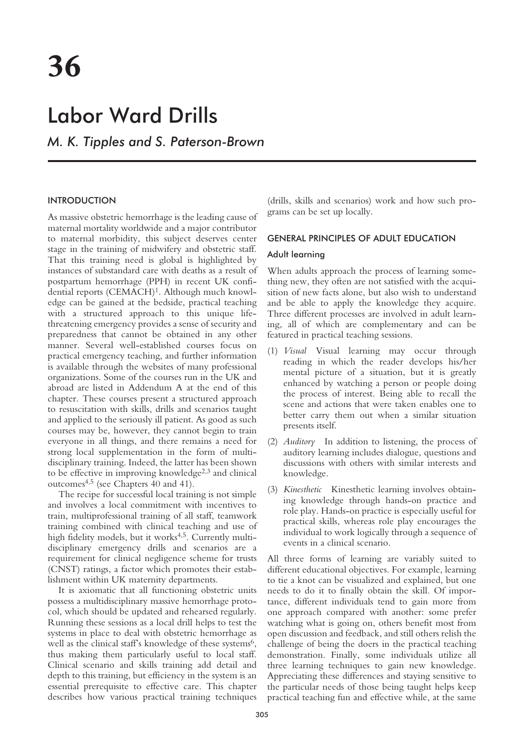# Labor Ward Drills

*M. K. Tipples and S. Paterson-Brown*

## INTRODUCTION

As massive obstetric hemorrhage is the leading cause of maternal mortality worldwide and a major contributor to maternal morbidity, this subject deserves center stage in the training of midwifery and obstetric staff. That this training need is global is highlighted by instances of substandard care with deaths as a result of postpartum hemorrhage (PPH) in recent UK confidential reports (CEMACH)<sup>1</sup>. Although much knowledge can be gained at the bedside, practical teaching with a structured approach to this unique lifethreatening emergency provides a sense of security and preparedness that cannot be obtained in any other manner. Several well-established courses focus on practical emergency teaching, and further information is available through the websites of many professional organizations. Some of the courses run in the UK and abroad are listed in Addendum A at the end of this chapter. These courses present a structured approach to resuscitation with skills, drills and scenarios taught and applied to the seriously ill patient. As good as such courses may be, however, they cannot begin to train everyone in all things, and there remains a need for strong local supplementation in the form of multidisciplinary training. Indeed, the latter has been shown to be effective in improving knowledge $2,3$  and clinical outcomes4,5 (see Chapters 40 and 41).

The recipe for successful local training is not simple and involves a local commitment with incentives to train, multiprofessional training of all staff, teamwork training combined with clinical teaching and use of high fidelity models, but it works<sup>4,5</sup>. Currently multidisciplinary emergency drills and scenarios are a requirement for clinical negligence scheme for trusts (CNST) ratings, a factor which promotes their establishment within UK maternity departments.

It is axiomatic that all functioning obstetric units possess a multidisciplinary massive hemorrhage protocol, which should be updated and rehearsed regularly. Running these sessions as a local drill helps to test the systems in place to deal with obstetric hemorrhage as well as the clinical staff's knowledge of these systems<sup>6</sup>, thus making them particularly useful to local staff. Clinical scenario and skills training add detail and depth to this training, but efficiency in the system is an essential prerequisite to effective care. This chapter describes how various practical training techniques

(drills, skills and scenarios) work and how such programs can be set up locally.

## GENERAL PRINCIPLES OF ADULT EDUCATION

#### Adult learning

When adults approach the process of learning something new, they often are not satisfied with the acquisition of new facts alone, but also wish to understand and be able to apply the knowledge they acquire. Three different processes are involved in adult learning, all of which are complementary and can be featured in practical teaching sessions.

- (1) *Visual* Visual learning may occur through reading in which the reader develops his/her mental picture of a situation, but it is greatly enhanced by watching a person or people doing the process of interest. Being able to recall the scene and actions that were taken enables one to better carry them out when a similar situation presents itself.
- (2) *Auditory* In addition to listening, the process of auditory learning includes dialogue, questions and discussions with others with similar interests and knowledge.
- (3) *Kinesthetic* Kinesthetic learning involves obtaining knowledge through hands-on practice and role play. Hands-on practice is especially useful for practical skills, whereas role play encourages the individual to work logically through a sequence of events in a clinical scenario.

All three forms of learning are variably suited to different educational objectives. For example, learning to tie a knot can be visualized and explained, but one needs to do it to finally obtain the skill. Of importance, different individuals tend to gain more from one approach compared with another: some prefer watching what is going on, others benefit most from open discussion and feedback, and still others relish the challenge of being the doers in the practical teaching demonstration. Finally, some individuals utilize all three learning techniques to gain new knowledge. Appreciating these differences and staying sensitive to the particular needs of those being taught helps keep practical teaching fun and effective while, at the same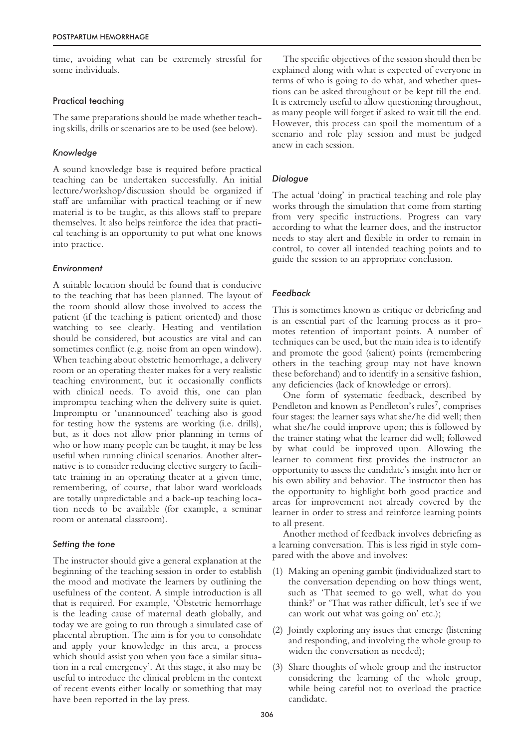time, avoiding what can be extremely stressful for some individuals.

#### Practical teaching

The same preparations should be made whether teaching skills, drills or scenarios are to be used (see below).

### *Knowledge*

A sound knowledge base is required before practical teaching can be undertaken successfully. An initial lecture/workshop/discussion should be organized if staff are unfamiliar with practical teaching or if new material is to be taught, as this allows staff to prepare themselves. It also helps reinforce the idea that practical teaching is an opportunity to put what one knows into practice.

#### *Environment*

A suitable location should be found that is conducive to the teaching that has been planned. The layout of the room should allow those involved to access the patient (if the teaching is patient oriented) and those watching to see clearly. Heating and ventilation should be considered, but acoustics are vital and can sometimes conflict (e.g. noise from an open window). When teaching about obstetric hemorrhage, a delivery room or an operating theater makes for a very realistic teaching environment, but it occasionally conflicts with clinical needs. To avoid this, one can plan impromptu teaching when the delivery suite is quiet. Impromptu or 'unannounced' teaching also is good for testing how the systems are working (i.e. drills), but, as it does not allow prior planning in terms of who or how many people can be taught, it may be less useful when running clinical scenarios. Another alternative is to consider reducing elective surgery to facilitate training in an operating theater at a given time, remembering, of course, that labor ward workloads are totally unpredictable and a back-up teaching location needs to be available (for example, a seminar room or antenatal classroom).

## *Setting the tone*

The instructor should give a general explanation at the beginning of the teaching session in order to establish the mood and motivate the learners by outlining the usefulness of the content. A simple introduction is all that is required. For example, 'Obstetric hemorrhage is the leading cause of maternal death globally, and today we are going to run through a simulated case of placental abruption. The aim is for you to consolidate and apply your knowledge in this area, a process which should assist you when you face a similar situation in a real emergency'. At this stage, it also may be useful to introduce the clinical problem in the context of recent events either locally or something that may have been reported in the lay press.

The specific objectives of the session should then be explained along with what is expected of everyone in terms of who is going to do what, and whether questions can be asked throughout or be kept till the end. It is extremely useful to allow questioning throughout, as many people will forget if asked to wait till the end. However, this process can spoil the momentum of a scenario and role play session and must be judged anew in each session.

## *Dialogue*

The actual 'doing' in practical teaching and role play works through the simulation that come from starting from very specific instructions. Progress can vary according to what the learner does, and the instructor needs to stay alert and flexible in order to remain in control, to cover all intended teaching points and to guide the session to an appropriate conclusion.

## *Feedback*

This is sometimes known as critique or debriefing and is an essential part of the learning process as it promotes retention of important points. A number of techniques can be used, but the main idea is to identify and promote the good (salient) points (remembering others in the teaching group may not have known these beforehand) and to identify in a sensitive fashion, any deficiencies (lack of knowledge or errors).

One form of systematic feedback, described by Pendleton and known as Pendleton's rules<sup>7</sup>, comprises four stages: the learner says what she/he did well; then what she/he could improve upon; this is followed by the trainer stating what the learner did well; followed by what could be improved upon. Allowing the learner to comment first provides the instructor an opportunity to assess the candidate's insight into her or his own ability and behavior. The instructor then has the opportunity to highlight both good practice and areas for improvement not already covered by the learner in order to stress and reinforce learning points to all present.

Another method of feedback involves debriefing as a learning conversation. This is less rigid in style compared with the above and involves:

- (1) Making an opening gambit (individualized start to the conversation depending on how things went, such as 'That seemed to go well, what do you think?' or 'That was rather difficult, let's see if we can work out what was going on' etc.);
- (2) Jointly exploring any issues that emerge (listening and responding, and involving the whole group to widen the conversation as needed);
- (3) Share thoughts of whole group and the instructor considering the learning of the whole group, while being careful not to overload the practice candidate.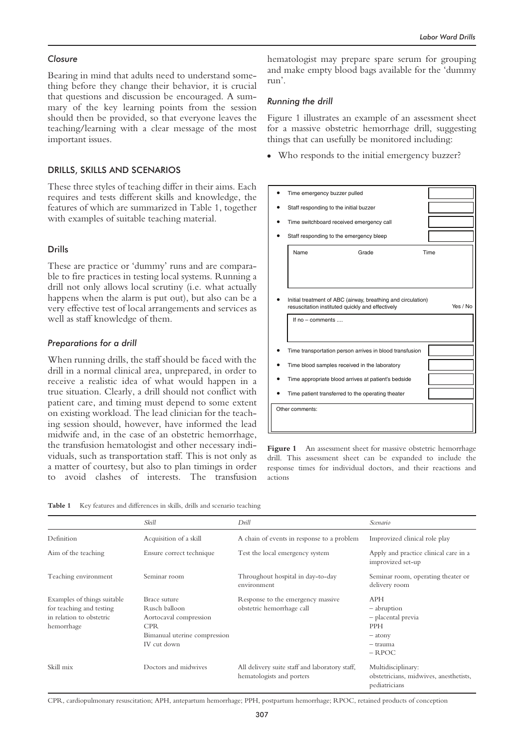#### *Closure*

Bearing in mind that adults need to understand something before they change their behavior, it is crucial that questions and discussion be encouraged. A summary of the key learning points from the session should then be provided, so that everyone leaves the teaching/learning with a clear message of the most important issues.

## DRILLS, SKILLS AND SCENARIOS

These three styles of teaching differ in their aims. Each requires and tests different skills and knowledge, the features of which are summarized in Table 1, together with examples of suitable teaching material.

#### Drills

These are practice or 'dummy' runs and are comparable to fire practices in testing local systems. Running a drill not only allows local scrutiny (i.e. what actually happens when the alarm is put out), but also can be a very effective test of local arrangements and services as well as staff knowledge of them.

#### *Preparations for a drill*

When running drills, the staff should be faced with the drill in a normal clinical area, unprepared, in order to receive a realistic idea of what would happen in a true situation. Clearly, a drill should not conflict with patient care, and timing must depend to some extent on existing workload. The lead clinician for the teaching session should, however, have informed the lead midwife and, in the case of an obstetric hemorrhage, the transfusion hematologist and other necessary individuals, such as transportation staff. This is not only as a matter of courtesy, but also to plan timings in order to avoid clashes of interests. The transfusion hematologist may prepare spare serum for grouping and make empty blood bags available for the 'dummy run'.

#### *Running the drill*

Figure 1 illustrates an example of an assessment sheet for a massive obstetric hemorrhage drill, suggesting things that can usefully be monitored including:

• Who responds to the initial emergency buzzer?

|                 | Time emergency buzzer pulled                                                                                     |          |  |  |
|-----------------|------------------------------------------------------------------------------------------------------------------|----------|--|--|
|                 | Staff responding to the initial buzzer                                                                           |          |  |  |
|                 | Time switchboard received emergency call                                                                         |          |  |  |
|                 | Staff responding to the emergency bleep                                                                          |          |  |  |
|                 | Name<br>Grade                                                                                                    | Time     |  |  |
|                 |                                                                                                                  |          |  |  |
|                 |                                                                                                                  |          |  |  |
|                 | Initial treatment of ABC (airway, breathing and circulation)<br>resuscitation instituted quickly and effectively | Yes / No |  |  |
|                 | If no - comments                                                                                                 |          |  |  |
|                 | Time transportation person arrives in blood transfusion                                                          |          |  |  |
|                 | Time blood samples received in the laboratory                                                                    |          |  |  |
|                 | Time appropriate blood arrives at patient's bedside                                                              |          |  |  |
|                 | Time patient transferred to the operating theater                                                                |          |  |  |
| Other comments: |                                                                                                                  |          |  |  |
|                 |                                                                                                                  |          |  |  |

Figure 1 An assessment sheet for massive obstetric hemorrhage drill. This assessment sheet can be expanded to include the response times for individual doctors, and their reactions and actions

Table 1 Key features and differences in skills, drills and scenario teaching

|                                                                                                   | Skill                                                                                                                | Drill                                                                       | Scenario                                                                                             |
|---------------------------------------------------------------------------------------------------|----------------------------------------------------------------------------------------------------------------------|-----------------------------------------------------------------------------|------------------------------------------------------------------------------------------------------|
| Definition                                                                                        | Acquisition of a skill                                                                                               | A chain of events in response to a problem                                  | Improvized clinical role play                                                                        |
| Aim of the teaching                                                                               | Ensure correct technique                                                                                             | Test the local emergency system                                             | Apply and practice clinical care in a<br>improvized set-up                                           |
| Teaching environment                                                                              | Seminar room                                                                                                         | Throughout hospital in day-to-day<br>environment                            | Seminar room, operating theater or<br>delivery room                                                  |
| Examples of things suitable<br>for teaching and testing<br>in relation to obstetric<br>hemorrhage | Brace suture<br>Rusch balloon<br>Aortocaval compression<br><b>CPR</b><br>Bimanual uterine compression<br>IV cut down | Response to the emergency massive<br>obstetric hemorrhage call              | <b>APH</b><br>- abruption<br>- placental previa<br><b>PPH</b><br>$-$ atony<br>$-$ trauma<br>$-$ RPOC |
| Skill mix                                                                                         | Doctors and midwives                                                                                                 | All delivery suite staff and laboratory staff,<br>hematologists and porters | Multidisciplinary:<br>obstetricians, midwives, anesthetists,<br>pediatricians                        |

CPR, cardiopulmonary resuscitation; APH, antepartum hemorrhage; PPH, postpartum hemorrhage; RPOC, retained products of conception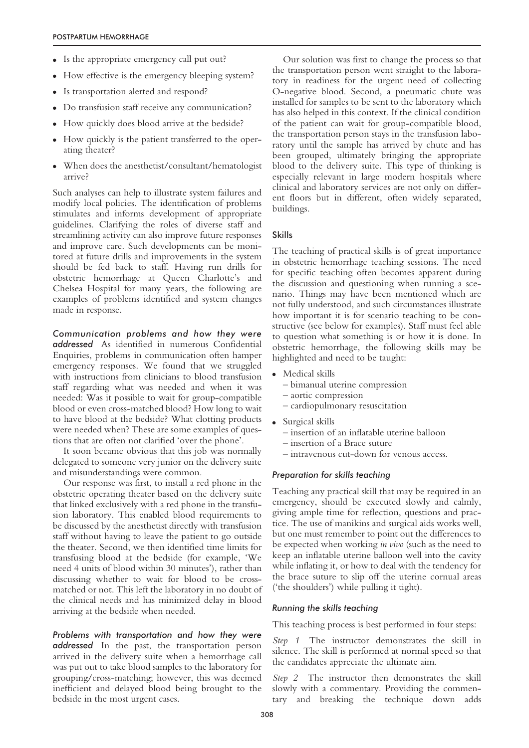- Is the appropriate emergency call put out?
- How effective is the emergency bleeping system?
- Is transportation alerted and respond?
- Do transfusion staff receive any communication?
- How quickly does blood arrive at the bedside?
- How quickly is the patient transferred to the operating theater?
- When does the anesthetist/consultant/hematologist arrive?

Such analyses can help to illustrate system failures and modify local policies. The identification of problems stimulates and informs development of appropriate guidelines. Clarifying the roles of diverse staff and streamlining activity can also improve future responses and improve care. Such developments can be monitored at future drills and improvements in the system should be fed back to staff. Having run drills for obstetric hemorrhage at Queen Charlotte's and Chelsea Hospital for many years, the following are examples of problems identified and system changes made in response.

*Communication problems and how they were addressed* As identified in numerous Confidential Enquiries, problems in communication often hamper emergency responses. We found that we struggled with instructions from clinicians to blood transfusion staff regarding what was needed and when it was needed: Was it possible to wait for group-compatible blood or even cross-matched blood? How long to wait to have blood at the bedside? What clotting products were needed when? These are some examples of questions that are often not clarified 'over the phone'.

It soon became obvious that this job was normally delegated to someone very junior on the delivery suite and misunderstandings were common.

Our response was first, to install a red phone in the obstetric operating theater based on the delivery suite that linked exclusively with a red phone in the transfusion laboratory. This enabled blood requirements to be discussed by the anesthetist directly with transfusion staff without having to leave the patient to go outside the theater. Second, we then identified time limits for transfusing blood at the bedside (for example, 'We need 4 units of blood within 30 minutes'), rather than discussing whether to wait for blood to be crossmatched or not. This left the laboratory in no doubt of the clinical needs and has minimized delay in blood arriving at the bedside when needed.

*Problems with transportation and how they were addressed* In the past, the transportation person arrived in the delivery suite when a hemorrhage call was put out to take blood samples to the laboratory for grouping/cross-matching; however, this was deemed inefficient and delayed blood being brought to the bedside in the most urgent cases.

Our solution was first to change the process so that the transportation person went straight to the laboratory in readiness for the urgent need of collecting O-negative blood. Second, a pneumatic chute was installed for samples to be sent to the laboratory which has also helped in this context. If the clinical condition of the patient can wait for group-compatible blood, the transportation person stays in the transfusion laboratory until the sample has arrived by chute and has been grouped, ultimately bringing the appropriate blood to the delivery suite. This type of thinking is especially relevant in large modern hospitals where clinical and laboratory services are not only on different floors but in different, often widely separated, buildings.

#### Skills

The teaching of practical skills is of great importance in obstetric hemorrhage teaching sessions. The need for specific teaching often becomes apparent during the discussion and questioning when running a scenario. Things may have been mentioned which are not fully understood, and such circumstances illustrate how important it is for scenario teaching to be constructive (see below for examples). Staff must feel able to question what something is or how it is done. In obstetric hemorrhage, the following skills may be highlighted and need to be taught:

- Medical skills
	- bimanual uterine compression
	- aortic compression
	- cardiopulmonary resuscitation
- Surgical skills
	- insertion of an inflatable uterine balloon
	- insertion of a Brace suture
	- intravenous cut-down for venous access.

### *Preparation for skills teaching*

Teaching any practical skill that may be required in an emergency, should be executed slowly and calmly, giving ample time for reflection, questions and practice. The use of manikins and surgical aids works well, but one must remember to point out the differences to be expected when working *in vivo* (such as the need to keep an inflatable uterine balloon well into the cavity while inflating it, or how to deal with the tendency for the brace suture to slip off the uterine cornual areas ('the shoulders') while pulling it tight).

#### *Running the skills teaching*

This teaching process is best performed in four steps:

*Step 1* The instructor demonstrates the skill in silence. The skill is performed at normal speed so that the candidates appreciate the ultimate aim.

*Step 2* The instructor then demonstrates the skill slowly with a commentary. Providing the commentary and breaking the technique down adds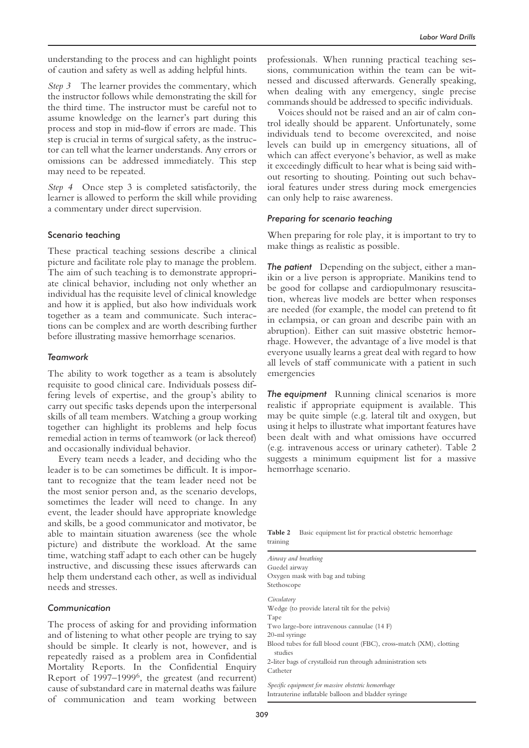understanding to the process and can highlight points of caution and safety as well as adding helpful hints.

*Step 3* The learner provides the commentary, which the instructor follows while demonstrating the skill for the third time. The instructor must be careful not to assume knowledge on the learner's part during this process and stop in mid-flow if errors are made. This step is crucial in terms of surgical safety, as the instructor can tell what the learner understands. Any errors or omissions can be addressed immediately. This step may need to be repeated.

*Step 4* Once step 3 is completed satisfactorily, the learner is allowed to perform the skill while providing a commentary under direct supervision.

#### Scenario teaching

These practical teaching sessions describe a clinical picture and facilitate role play to manage the problem. The aim of such teaching is to demonstrate appropriate clinical behavior, including not only whether an individual has the requisite level of clinical knowledge and how it is applied, but also how individuals work together as a team and communicate. Such interactions can be complex and are worth describing further before illustrating massive hemorrhage scenarios.

#### *Teamwork*

The ability to work together as a team is absolutely requisite to good clinical care. Individuals possess differing levels of expertise, and the group's ability to carry out specific tasks depends upon the interpersonal skills of all team members. Watching a group working together can highlight its problems and help focus remedial action in terms of teamwork (or lack thereof) and occasionally individual behavior.

Every team needs a leader, and deciding who the leader is to be can sometimes be difficult. It is important to recognize that the team leader need not be the most senior person and, as the scenario develops, sometimes the leader will need to change. In any event, the leader should have appropriate knowledge and skills, be a good communicator and motivator, be able to maintain situation awareness (see the whole picture) and distribute the workload. At the same time, watching staff adapt to each other can be hugely instructive, and discussing these issues afterwards can help them understand each other, as well as individual needs and stresses.

#### *Communication*

The process of asking for and providing information and of listening to what other people are trying to say should be simple. It clearly is not, however, and is repeatedly raised as a problem area in Confidential Mortality Reports. In the Confidential Enquiry Report of 1997–19996, the greatest (and recurrent) cause of substandard care in maternal deaths was failure of communication and team working between

professionals. When running practical teaching sessions, communication within the team can be witnessed and discussed afterwards. Generally speaking, when dealing with any emergency, single precise commands should be addressed to specific individuals.

Voices should not be raised and an air of calm control ideally should be apparent. Unfortunately, some individuals tend to become overexcited, and noise levels can build up in emergency situations, all of which can affect everyone's behavior, as well as make it exceedingly difficult to hear what is being said without resorting to shouting. Pointing out such behavioral features under stress during mock emergencies can only help to raise awareness.

#### *Preparing for scenario teaching*

When preparing for role play, it is important to try to make things as realistic as possible.

*The patient* Depending on the subject, either a manikin or a live person is appropriate. Manikins tend to be good for collapse and cardiopulmonary resuscitation, whereas live models are better when responses are needed (for example, the model can pretend to fit in eclampsia, or can groan and describe pain with an abruption). Either can suit massive obstetric hemorrhage. However, the advantage of a live model is that everyone usually learns a great deal with regard to how all levels of staff communicate with a patient in such emergencies

*The equipment* Running clinical scenarios is more realistic if appropriate equipment is available. This may be quite simple (e.g. lateral tilt and oxygen, but using it helps to illustrate what important features have been dealt with and what omissions have occurred (e.g. intravenous access or urinary catheter). Table 2 suggests a minimum equipment list for a massive hemorrhage scenario.

**Table 2** Basic equipment list for practical obstetric hemorrhage training

| Airway and breathing                                                          |
|-------------------------------------------------------------------------------|
| Guedel airway                                                                 |
| Oxygen mask with bag and tubing                                               |
| Stethoscope                                                                   |
| Circulatory                                                                   |
| Wedge (to provide lateral tilt for the pelvis)                                |
| Tape                                                                          |
| Two large-bore intravenous cannulae (14 F)                                    |
| 20-ml syringe                                                                 |
| Blood tubes for full blood count (FBC), cross-match (XM), clotting<br>studies |
| 2-liter bags of crystalloid run through administration sets                   |
| Catheter                                                                      |
| Specific equipment for massive obstetric hemorrhage                           |
| Intrauterine inflatable balloon and bladder syringe                           |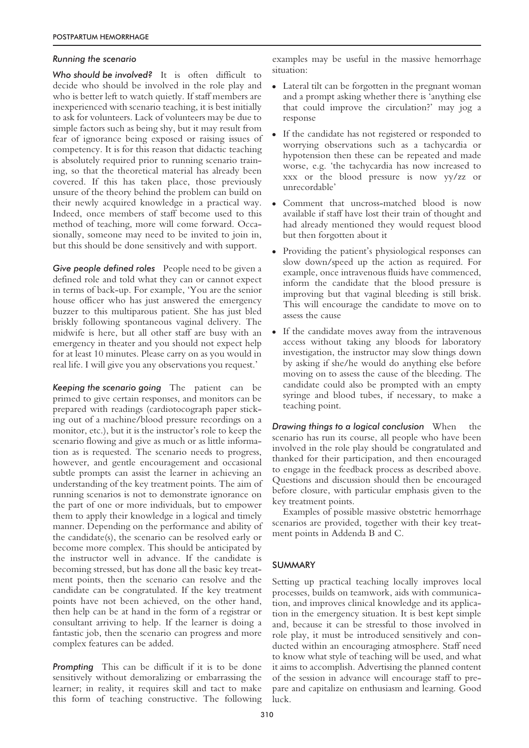## *Running the scenario*

*Who should be involved?* It is often difficult to decide who should be involved in the role play and who is better left to watch quietly. If staff members are inexperienced with scenario teaching, it is best initially to ask for volunteers. Lack of volunteers may be due to simple factors such as being shy, but it may result from fear of ignorance being exposed or raising issues of competency. It is for this reason that didactic teaching is absolutely required prior to running scenario training, so that the theoretical material has already been covered. If this has taken place, those previously unsure of the theory behind the problem can build on their newly acquired knowledge in a practical way. Indeed, once members of staff become used to this method of teaching, more will come forward. Occasionally, someone may need to be invited to join in, but this should be done sensitively and with support.

*Give people defined roles* People need to be given a defined role and told what they can or cannot expect in terms of back-up. For example, 'You are the senior house officer who has just answered the emergency buzzer to this multiparous patient. She has just bled briskly following spontaneous vaginal delivery. The midwife is here, but all other staff are busy with an emergency in theater and you should not expect help for at least 10 minutes. Please carry on as you would in real life. I will give you any observations you request.'

*Keeping the scenario going* The patient can be primed to give certain responses, and monitors can be prepared with readings (cardiotocograph paper sticking out of a machine/blood pressure recordings on a monitor, etc.), but it is the instructor's role to keep the scenario flowing and give as much or as little information as is requested. The scenario needs to progress, however, and gentle encouragement and occasional subtle prompts can assist the learner in achieving an understanding of the key treatment points. The aim of running scenarios is not to demonstrate ignorance on the part of one or more individuals, but to empower them to apply their knowledge in a logical and timely manner. Depending on the performance and ability of the candidate(s), the scenario can be resolved early or become more complex. This should be anticipated by the instructor well in advance. If the candidate is becoming stressed, but has done all the basic key treatment points, then the scenario can resolve and the candidate can be congratulated. If the key treatment points have not been achieved, on the other hand, then help can be at hand in the form of a registrar or consultant arriving to help. If the learner is doing a fantastic job, then the scenario can progress and more complex features can be added.

*Prompting* This can be difficult if it is to be done sensitively without demoralizing or embarrassing the learner; in reality, it requires skill and tact to make this form of teaching constructive. The following examples may be useful in the massive hemorrhage situation:

- Lateral tilt can be forgotten in the pregnant woman and a prompt asking whether there is 'anything else that could improve the circulation?' may jog a response
- If the candidate has not registered or responded to worrying observations such as a tachycardia or hypotension then these can be repeated and made worse, e.g. 'the tachycardia has now increased to xxx or the blood pressure is now yy/zz or unrecordable'
- Comment that uncross-matched blood is now available if staff have lost their train of thought and had already mentioned they would request blood but then forgotten about it
- Providing the patient's physiological responses can slow down/speed up the action as required. For example, once intravenous fluids have commenced, inform the candidate that the blood pressure is improving but that vaginal bleeding is still brisk. This will encourage the candidate to move on to assess the cause
- If the candidate moves away from the intravenous access without taking any bloods for laboratory investigation, the instructor may slow things down by asking if she/he would do anything else before moving on to assess the cause of the bleeding. The candidate could also be prompted with an empty syringe and blood tubes, if necessary, to make a teaching point.

*Drawing things to a logical conclusion* When the scenario has run its course, all people who have been involved in the role play should be congratulated and thanked for their participation, and then encouraged to engage in the feedback process as described above. Questions and discussion should then be encouraged before closure, with particular emphasis given to the key treatment points.

Examples of possible massive obstetric hemorrhage scenarios are provided, together with their key treatment points in Addenda B and C.

## **SUMMARY**

Setting up practical teaching locally improves local processes, builds on teamwork, aids with communication, and improves clinical knowledge and its application in the emergency situation. It is best kept simple and, because it can be stressful to those involved in role play, it must be introduced sensitively and conducted within an encouraging atmosphere. Staff need to know what style of teaching will be used, and what it aims to accomplish. Advertising the planned content of the session in advance will encourage staff to prepare and capitalize on enthusiasm and learning. Good luck.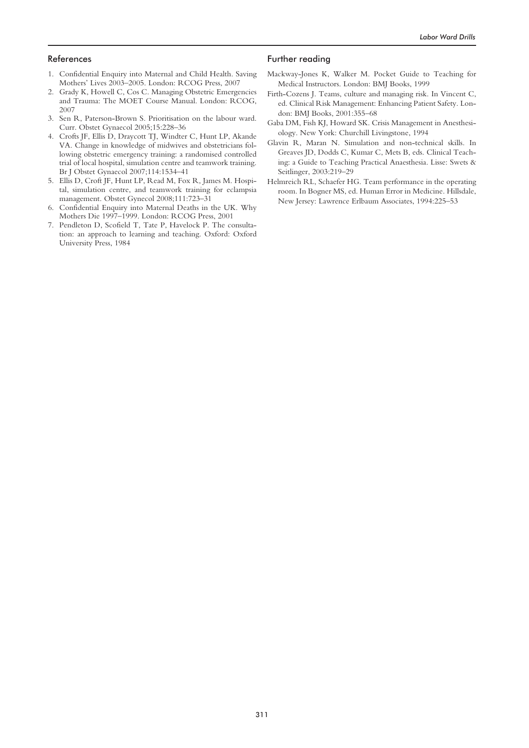#### References

- 1. Confidential Enquiry into Maternal and Child Health. Saving Mothers' Lives 2003–2005. London: RCOG Press, 2007
- 2. Grady K, Howell C, Cos C. Managing Obstetric Emergencies and Trauma: The MOET Course Manual. London: RCOG, 2007
- 3. Sen R, Paterson-Brown S. Prioritisation on the labour ward. Curr. Obstet Gynaecol 2005;15:228–36
- 4. Crofts JF, Ellis D, Draycott TJ, Windter C, Hunt LP, Akande VA. Change in knowledge of midwives and obstetricians following obstetric emergency training: a randomised controlled trial of local hospital, simulation centre and teamwork training. Br J Obstet Gynaecol 2007;114:1534–41
- 5. Ellis D, Croft JF, Hunt LP, Read M, Fox R, James M. Hospital, simulation centre, and teamwork training for eclampsia management. Obstet Gynecol 2008;111:723–31
- 6. Confidential Enquiry into Maternal Deaths in the UK. Why Mothers Die 1997–1999. London: RCOG Press, 2001
- 7. Pendleton D, Scofield T, Tate P, Havelock P. The consultation: an approach to learning and teaching. Oxford: Oxford University Press, 1984

#### Further reading

- Mackway-Jones K, Walker M. Pocket Guide to Teaching for Medical Instructors. London: BMJ Books, 1999
- Firth-Cozens J. Teams, culture and managing risk. In Vincent C, ed. Clinical Risk Management: Enhancing Patient Safety. London: BMJ Books, 2001:355–68
- Gaba DM, Fish KJ, Howard SK. Crisis Management in Anesthesiology. New York: Churchill Livingstone, 1994
- Glavin R, Maran N. Simulation and non-technical skills. In Greaves JD, Dodds C, Kumar C, Mets B, eds. Clinical Teaching: a Guide to Teaching Practical Anaesthesia. Lisse: Swets & Seitlinger, 2003:219–29
- Helmreich RL, Schaefer HG. Team performance in the operating room. In Bogner MS, ed. Human Error in Medicine. Hillsdale, New Jersey: Lawrence Erlbaum Associates, 1994:225–53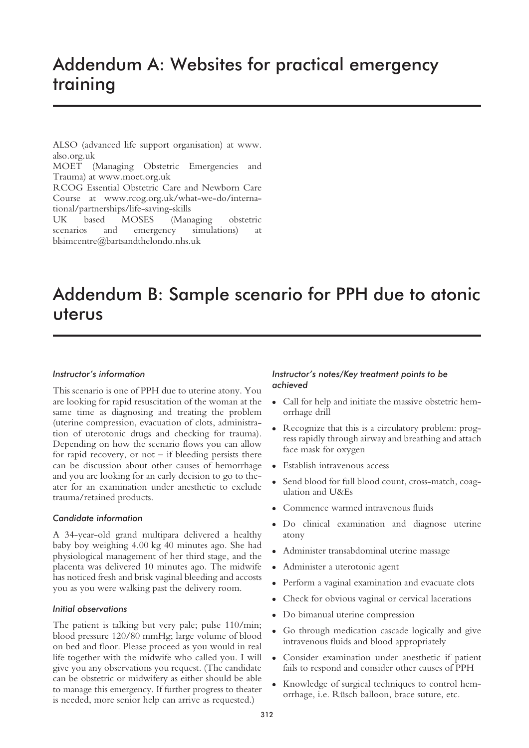## Addendum A: Websites for practical emergency training

ALSO (advanced life support organisation) at www. also.org.uk

MOET (Managing Obstetric Emergencies and Trauma) at www.moet.org.uk

RCOG Essential Obstetric Care and Newborn Care Course at www.rcog.org.uk/what-we-do/international/partnerships/life-saving-skills

UK based MOSES (Managing obstetric scenarios and emergency simulations) at blsimcentre@bartsandthelondo.nhs.uk

## Addendum B: Sample scenario for PPH due to atonic uterus

## *Instructor's information*

This scenario is one of PPH due to uterine atony. You are looking for rapid resuscitation of the woman at the same time as diagnosing and treating the problem (uterine compression, evacuation of clots, administration of uterotonic drugs and checking for trauma). Depending on how the scenario flows you can allow for rapid recovery, or not  $-$  if bleeding persists there can be discussion about other causes of hemorrhage and you are looking for an early decision to go to theater for an examination under anesthetic to exclude trauma/retained products.

## *Candidate information*

A 34-year-old grand multipara delivered a healthy baby boy weighing 4.00 kg 40 minutes ago. She had physiological management of her third stage, and the placenta was delivered 10 minutes ago. The midwife has noticed fresh and brisk vaginal bleeding and accosts you as you were walking past the delivery room.

## *Initial observations*

The patient is talking but very pale; pulse 110/min; blood pressure 120/80 mmHg; large volume of blood on bed and floor. Please proceed as you would in real life together with the midwife who called you. I will give you any observations you request. (The candidate can be obstetric or midwifery as either should be able to manage this emergency. If further progress to theater is needed, more senior help can arrive as requested.)

## *Instructor's notes/Key treatment points to be achieved*

- Call for help and initiate the massive obstetric hemorrhage drill
- Recognize that this is a circulatory problem: progress rapidly through airway and breathing and attach face mask for oxygen
- Establish intravenous access
- Send blood for full blood count, cross-match, coagulation and U&Es
- Commence warmed intravenous fluids
- Do clinical examination and diagnose uterine atony
- Administer transabdominal uterine massage
- Administer a uterotonic agent
- Perform a vaginal examination and evacuate clots
- Check for obvious vaginal or cervical lacerations
- Do bimanual uterine compression
- Go through medication cascade logically and give intravenous fluids and blood appropriately
- Consider examination under anesthetic if patient fails to respond and consider other causes of PPH
- Knowledge of surgical techniques to control hemorrhage, i.e. Rüsch balloon, brace suture, etc.